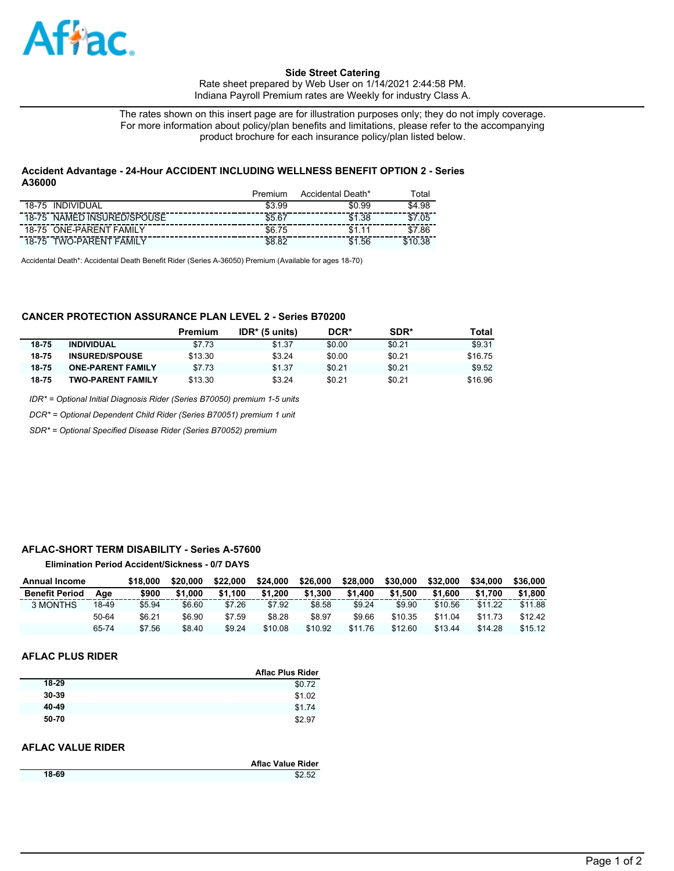

### **Side Street Catering**

Rate sheet prepared by Web User on 1/14/2021 2:44:58 PM. Indiana Payroll Premium rates are Weekly for industry Class A.

The rates shown on this insert page are for illustration purposes only; they do not imply coverage. For more information about policy/plan benefits and limitations, please refer to the accompanying product brochure for each insurance policy/plan listed below.

### **Accident Advantage - 24-Hour ACCIDENT INCLUDING WELLNESS BENEFIT OPTION 2 - Series A36000**

|                                   | Premium | Accidental Death* | ™otal   |
|-----------------------------------|---------|-------------------|---------|
| INDIVIDUAL<br>18-75               | \$3.99  | \$0.99            | \$4.98  |
| 18-75 NAMED INSURED/SPOUSE        | \$5.67  | \$1.38            | .05     |
| 18-75 ONE-PARENT FAMILY           | \$6.75  | \$1.11            | .86     |
| <b>TWO-PARENT FAMILY</b><br>18-75 | \$8.82  | .56<br>\$1        | \$10.38 |

Accidental Death\*: Accidental Death Benefit Rider (Series A-36050) Premium (Available for ages 18-70)

## **CANCER PROTECTION ASSURANCE PLAN LEVEL 2 - Series B70200**

|       |                          | Premium | $IDR*$ (5 units) | DCR*   | SDR*   | Total   |
|-------|--------------------------|---------|------------------|--------|--------|---------|
| 18-75 | <b>INDIVIDUAL</b>        | \$7.73  | \$1.37           | \$0.00 | \$0.21 | \$9.31  |
| 18-75 | <b>INSURED/SPOUSE</b>    | \$13.30 | \$3.24           | \$0.00 | \$0.21 | \$16.75 |
| 18-75 | <b>ONE-PARENT FAMILY</b> | \$7.73  | \$1.37           | \$0.21 | \$0.21 | \$9.52  |
| 18-75 | <b>TWO-PARENT FAMILY</b> | \$13.30 | \$3.24           | \$0.21 | \$0.21 | \$16.96 |

*IDR\* = Optional Initial Diagnosis Rider (Series B70050) premium 1-5 units*

*DCR\* = Optional Dependent Child Rider (Series B70051) premium 1 unit*

*SDR\* = Optional Specified Disease Rider (Series B70052) premium*

### **AFLAC-SHORT TERM DISABILITY - Series A-57600**

### **Elimination Period Accident/Sickness - 0/7 DAYS**

| <b>Annual Income</b>  |       | \$18.000 | \$20.000 | \$22,000 | \$24.000 | \$26,000 | \$28,000 | \$30,000 | \$32.000 | \$34,000 | \$36,000 |
|-----------------------|-------|----------|----------|----------|----------|----------|----------|----------|----------|----------|----------|
| <b>Benefit Period</b> | Aae   | \$900    | \$1,000  | \$1.100  | \$1.200  | \$1.300  | \$1,400  | \$1.500  | \$1,600  | \$1.700  | \$1,800  |
| 3 MONTHS              | 18-49 | \$5.94   | \$6.60   | \$7.26   | \$7.92   | \$8.58   | \$9.24   | \$9.90   | \$10.56  | \$11.22  | \$11.88  |
|                       | 50-64 | \$6.21   | \$6.90   | \$7.59   | \$8.28   | \$8.97   | \$9.66   | \$10.35  | \$11.04  | \$11.73  | \$12.42  |
|                       | 65-74 | \$7.56   | \$8.40   | \$9.24   | \$10.08  | \$10.92  | \$11.76  | \$12.60  | \$13.44  | \$14.28  | \$15.12  |

#### **AFLAC PLUS RIDER**

|       | <b>Aflac Plus Rider</b> |
|-------|-------------------------|
| 18-29 | \$0.72                  |
| 30-39 | \$1.02                  |
| 40-49 | \$1.74                  |
| 50-70 | \$2.97                  |

## **AFLAC VALUE RIDER**

|       | Aflac Value Rider |
|-------|-------------------|
| 18-69 | \$2.52            |